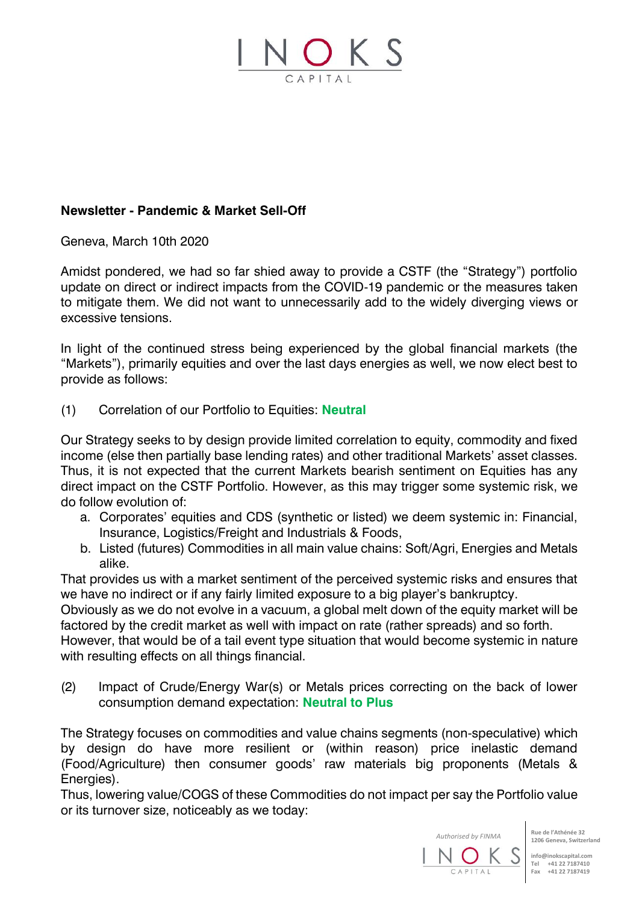

## **Newsletter - Pandemic & Market Sell-Off**

Geneva, March 10th 2020

Amidst pondered, we had so far shied away to provide a CSTF (the "Strategy") portfolio update on direct or indirect impacts from the COVID-19 pandemic or the measures taken to mitigate them. We did not want to unnecessarily add to the widely diverging views or excessive tensions.

In light of the continued stress being experienced by the global financial markets (the "Markets"), primarily equities and over the last days energies as well, we now elect best to provide as follows:

(1) Correlation of our Portfolio to Equities: **Neutral**

Our Strategy seeks to by design provide limited correlation to equity, commodity and fixed income (else then partially base lending rates) and other traditional Markets' asset classes. Thus, it is not expected that the current Markets bearish sentiment on Equities has any direct impact on the CSTF Portfolio. However, as this may trigger some systemic risk, we do follow evolution of:

- a. Corporates' equities and CDS (synthetic or listed) we deem systemic in: Financial, Insurance, Logistics/Freight and Industrials & Foods,
- b. Listed (futures) Commodities in all main value chains: Soft/Agri, Energies and Metals alike.

That provides us with a market sentiment of the perceived systemic risks and ensures that we have no indirect or if any fairly limited exposure to a big player's bankruptcy.

Obviously as we do not evolve in a vacuum, a global melt down of the equity market will be factored by the credit market as well with impact on rate (rather spreads) and so forth.

However, that would be of a tail event type situation that would become systemic in nature with resulting effects on all things financial.

(2) Impact of Crude/Energy War(s) or Metals prices correcting on the back of lower consumption demand expectation: **Neutral to Plus**

The Strategy focuses on commodities and value chains segments (non-speculative) which by design do have more resilient or (within reason) price inelastic demand (Food/Agriculture) then consumer goods' raw materials big proponents (Metals & Energies).

Thus, lowering value/COGS of these Commodities do not impact per say the Portfolio value or its turnover size, noticeably as we today:

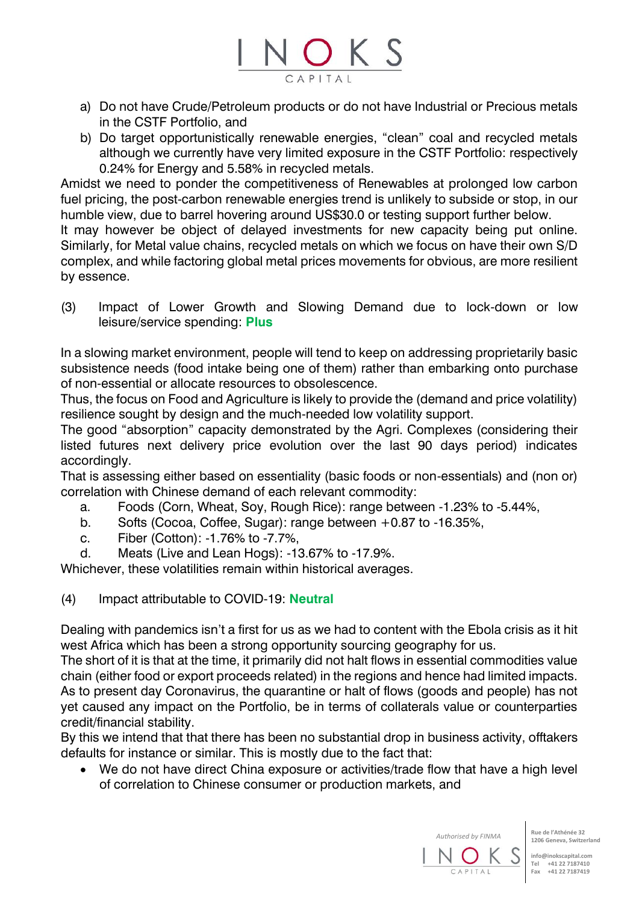

- a) Do not have Crude/Petroleum products or do not have Industrial or Precious metals in the CSTF Portfolio, and
- b) Do target opportunistically renewable energies, "clean" coal and recycled metals although we currently have very limited exposure in the CSTF Portfolio: respectively 0.24% for Energy and 5.58% in recycled metals.

Amidst we need to ponder the competitiveness of Renewables at prolonged low carbon fuel pricing, the post-carbon renewable energies trend is unlikely to subside or stop, in our humble view, due to barrel hovering around US\$30.0 or testing support further below.

It may however be object of delayed investments for new capacity being put online. Similarly, for Metal value chains, recycled metals on which we focus on have their own S/D complex, and while factoring global metal prices movements for obvious, are more resilient by essence.

(3) Impact of Lower Growth and Slowing Demand due to lock-down or low leisure/service spending: **Plus** 

In a slowing market environment, people will tend to keep on addressing proprietarily basic subsistence needs (food intake being one of them) rather than embarking onto purchase of non-essential or allocate resources to obsolescence.

Thus, the focus on Food and Agriculture is likely to provide the (demand and price volatility) resilience sought by design and the much-needed low volatility support.

The good "absorption" capacity demonstrated by the Agri. Complexes (considering their listed futures next delivery price evolution over the last 90 days period) indicates accordingly.

That is assessing either based on essentiality (basic foods or non-essentials) and (non or) correlation with Chinese demand of each relevant commodity:

- a. Foods (Corn, Wheat, Soy, Rough Rice): range between -1.23% to -5.44%,
- b. Softs (Cocoa, Coffee, Sugar): range between +0.87 to -16.35%,
- c. Fiber (Cotton): -1.76% to -7.7%,
- d. Meats (Live and Lean Hogs): -13.67% to -17.9%.

Whichever, these volatilities remain within historical averages.

(4) Impact attributable to COVID-19: **Neutral**

Dealing with pandemics isn't a first for us as we had to content with the Ebola crisis as it hit west Africa which has been a strong opportunity sourcing geography for us.

The short of it is that at the time, it primarily did not halt flows in essential commodities value chain (either food or export proceeds related) in the regions and hence had limited impacts. As to present day Coronavirus, the quarantine or halt of flows (goods and people) has not yet caused any impact on the Portfolio, be in terms of collaterals value or counterparties credit/financial stability.

By this we intend that that there has been no substantial drop in business activity, offtakers defaults for instance or similar. This is mostly due to the fact that:

We do not have direct China exposure or activities/trade flow that have a high level of correlation to Chinese consumer or production markets, and

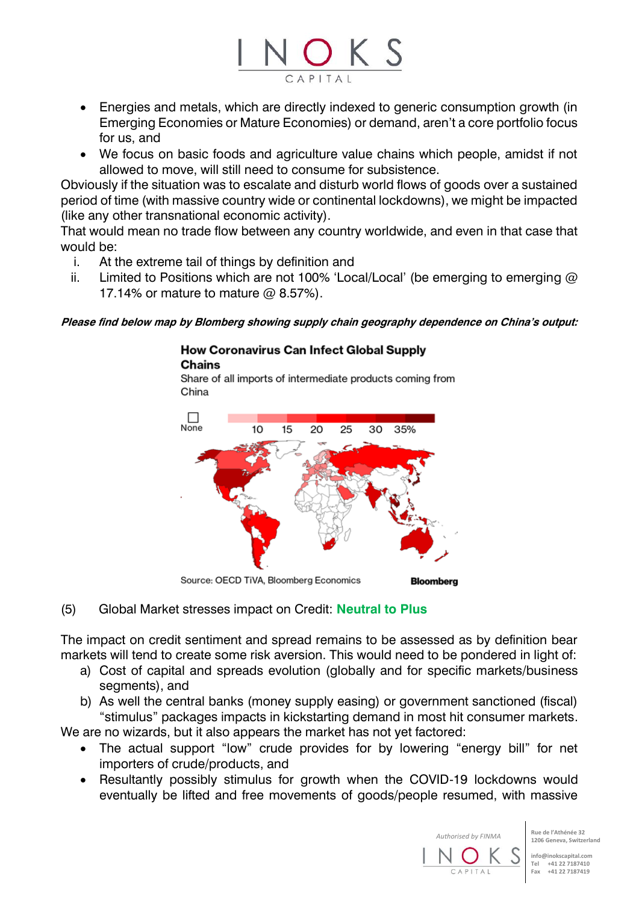

- Energies and metals, which are directly indexed to generic consumption growth (in Emerging Economies or Mature Economies) or demand, aren't a core portfolio focus for us, and
- We focus on basic foods and agriculture value chains which people, amidst if not allowed to move, will still need to consume for subsistence.

Obviously if the situation was to escalate and disturb world flows of goods over a sustained period of time (with massive country wide or continental lockdowns), we might be impacted (like any other transnational economic activity).

That would mean no trade flow between any country worldwide, and even in that case that would be:

- i. At the extreme tail of things by definition and
- ii. Limited to Positions which are not 100% 'Local/Local' (be emerging to emerging  $\omega$ 17.14% or mature to mature @ 8.57%).

**Please find below map by Blomberg showing supply chain geography dependence on China's output:**

## **How Coronavirus Can Infect Global Supply Chains**

Share of all imports of intermediate products coming from China



(5) Global Market stresses impact on Credit: **Neutral to Plus**

The impact on credit sentiment and spread remains to be assessed as by definition bear markets will tend to create some risk aversion. This would need to be pondered in light of:

- a) Cost of capital and spreads evolution (globally and for specific markets/business segments), and
- b) As well the central banks (money supply easing) or government sanctioned (fiscal) "stimulus" packages impacts in kickstarting demand in most hit consumer markets.

We are no wizards, but it also appears the market has not yet factored:

- The actual support "low" crude provides for by lowering "energy bill" for net importers of crude/products, and
- Resultantly possibly stimulus for growth when the COVID-19 lockdowns would eventually be lifted and free movements of goods/people resumed, with massive